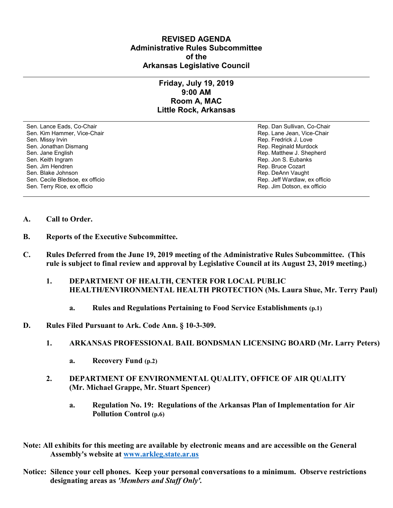## **REVISED AGENDA Administrative Rules Subcommittee of the Arkansas Legislative Council**

## **Friday, July 19, 2019 9:00 AM Room A, MAC Little Rock, Arkansas**

Sen. Lance Eads, Co-Chair Rep. Dan Sullivan, Co-Chair Sen. Kim Hammer, Vice-Chair **Rep. Lane Jean, Vice-Chair** Rep. Lane Jean, Vice-Chair Sen. Missy Irvin New York 1, 2008 and the sense of the sense of the Sense of Technical Sense of Technical Australian Sense of Technical Australian Sense of Technical Australian Sense of Technical Australian Sense of Techni Sen. Jonathan Dismang Rep. Reginald Murdock and Rep. Reginald Murdock Sen. Jane English Rep. Matthew J. Shepherd Rep. Matthew J. Shepherd Sen. Keith Ingram Rep. Jon S. Eubanks (Sen. Keith Ingram Rep. Jon S. Eubanks (Sen. Jon S. Eubanks (Sen. Jon S. Eubanks (Sen. Jon S. Eubanks (Sen. Jon S. Eubanks (Sen. Jon S. Eubanks (Sen. Jon S. Eubanks (Sen. Jon S. Eubank Sen. Blake Johnson (Sen. 1999)<br>Sen. Cecile Bledsoe, ex officio (Sen. 1999)<br>Sen. Cecile Bledsoe, ex officio (Sen. 1999) Sen. Cecile Bledsoe, ex officio Sen. Terry Rice, ex officio Rep. Jim Dotson, ex officio

Rep. Bruce Cozart

- **A. Call to Order.**
- **B. Reports of the Executive Subcommittee.**
- **C. Rules Deferred from the June 19, 2019 meeting of the Administrative Rules Subcommittee. (This rule is subject to final review and approval by Legislative Council at its August 23, 2019 meeting.)**
	- **1. DEPARTMENT OF HEALTH, CENTER FOR LOCAL PUBLIC HEALTH/ENVIRONMENTAL HEALTH PROTECTION (Ms. Laura Shue, Mr. Terry Paul)**
		- **a. Rules and Regulations Pertaining to Food Service Establishments (p.1)**
- **D. Rules Filed Pursuant to Ark. Code Ann. § 10-3-309.**
	- **1. ARKANSAS PROFESSIONAL BAIL BONDSMAN LICENSING BOARD (Mr. Larry Peters)**
		- **a. Recovery Fund (p.2)**
	- **2. DEPARTMENT OF ENVIRONMENTAL QUALITY, OFFICE OF AIR QUALITY (Mr. Michael Grappe, Mr. Stuart Spencer)**
		- **a. Regulation No. 19: Regulations of the Arkansas Plan of Implementation for Air Pollution Control (p.6)**
- **Note: All exhibits for this meeting are available by electronic means and are accessible on the General Assembly's website at [www.arkleg.state.ar.us](http://www.arkleg.state.ar.us)**
- **Notice: Silence your cell phones. Keep your personal conversations to a minimum. Observe restrictions designating areas as** *'Members and Staff Only'.*